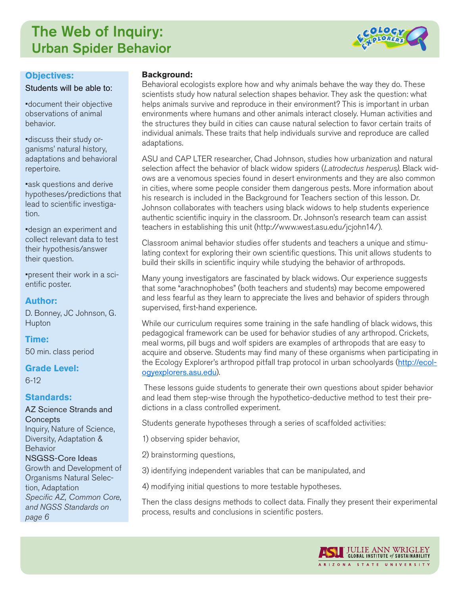## The Web of Inquiry: Urban Spider Behavior



#### **Objectives:**

Students will be able to:

•document their objective observations of animal behavior.

•discuss their study organisms' natural history, adaptations and behavioral repertoire.

•ask questions and derive hypotheses/predictions that lead to scientific investigation.

•design an experiment and collect relevant data to test their hypothesis/answer their question.

•present their work in a scientific poster.

## **Author:**

D. Bonney, JC Johnson, G. Hupton

### **Time:**

50 min. class period

### **Grade Level:**

6-12

### **Standards:**

AZ Science Strands and **Concepts** Inquiry, Nature of Science, Diversity, Adaptation & Behavior NSGSS-Core Ideas Growth and Development of Organisms Natural Selection, Adaptation *Specific AZ, Common Core, and NGSS Standards on page 6*

#### **Background:**

Behavioral ecologists explore how and why animals behave the way they do. These scientists study how natural selection shapes behavior. They ask the question: what helps animals survive and reproduce in their environment? This is important in urban environments where humans and other animals interact closely. Human activities and the structures they build in cities can cause natural selection to favor certain traits of individual animals. These traits that help individuals survive and reproduce are called adaptations.

ASU and CAP LTER researcher, Chad Johnson, studies how urbanization and natural selection affect the behavior of black widow spiders (*Latrodectus hesperus)*. Black widows are a venomous species found in desert environments and they are also common in cities, where some people consider them dangerous pests. More information about his research is included in the Background for Teachers section of this lesson. Dr. Johnson collaborates with teachers using black widows to help students experience authentic scientific inquiry in the classroom. Dr. Johnson's research team can assist teachers in establishing this unit (http://www.west.asu.edu/jcjohn14/).

Classroom animal behavior studies offer students and teachers a unique and stimulating context for exploring their own scientific questions. This unit allows students to build their skills in scientific inquiry while studying the behavior of arthropods.

Many young investigators are fascinated by black widows. Our experience suggests that some "arachnophobes" (both teachers and students) may become empowered and less fearful as they learn to appreciate the lives and behavior of spiders through supervised, first-hand experience.

While our curriculum requires some training in the safe handling of black widows, this pedagogical framework can be used for behavior studies of any arthropod. Crickets, meal worms, pill bugs and wolf spiders are examples of arthropods that are easy to acquire and observe. Students may find many of these organisms when participating in the Ecology Explorer's arthropod pitfall trap protocol in urban schoolyards ([http://ecol](http://ecologyexplorers.asu.edu)[ogyexplorers.asu.edu](http://ecologyexplorers.asu.edu)).

These lessons guide students to generate their own questions about spider behavior and lead them step-wise through the hypothetico-deductive method to test their predictions in a class controlled experiment.

Students generate hypotheses through a series of scaffolded activities:

- 1) observing spider behavior,
- 2) brainstorming questions,

3) identifying independent variables that can be manipulated, and

4) modifying initial questions to more testable hypotheses.

Then the class designs methods to collect data. Finally they present their experimental process, results and conclusions in scientific posters.

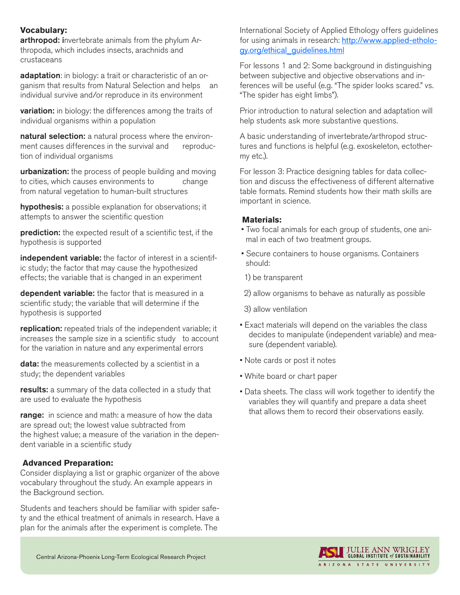#### **Vocabulary:**

arthropod: invertebrate animals from the phylum Arthropoda, which includes insects, arachnids and crustaceans

adaptation: in biology: a trait or characteristic of an organism that results from Natural Selection and helps an individual survive and/or reproduce in its environment

**variation:** in biology: the differences among the traits of individual organisms within a population

natural selection: a natural process where the environment causes differences in the survival and reproduction of individual organisms

**urbanization:** the process of people building and moving to cities, which causes environments to change from natural vegetation to human-built structures

hypothesis: a possible explanation for observations; it attempts to answer the scientific question

prediction: the expected result of a scientific test, if the hypothesis is supported

independent variable: the factor of interest in a scientific study; the factor that may cause the hypothesized effects; the variable that is changed in an experiment

dependent variable: the factor that is measured in a scientific study; the variable that will determine if the hypothesis is supported

replication: repeated trials of the independent variable; it increases the sample size in a scientific study to account for the variation in nature and any experimental errors

data: the measurements collected by a scientist in a study; the dependent variables

results: a summary of the data collected in a study that are used to evaluate the hypothesis

range: in science and math: a measure of how the data are spread out; the lowest value subtracted from the highest value; a measure of the variation in the dependent variable in a scientific study

### **Advanced Preparation:**

Consider displaying a list or graphic organizer of the above vocabulary throughout the study. An example appears in the Background section.

Students and teachers should be familiar with spider safety and the ethical treatment of animals in research. Have a plan for the animals after the experiment is complete. The

International Society of Applied Ethology offers guidelines for using animals in research: [http://www.applied-etholo](http://www.applied-ethology.org/ethical_guidelines.html)[gy.org/ethical\\_guidelines.html](http://www.applied-ethology.org/ethical_guidelines.html)

For lessons 1 and 2: Some background in distinguishing between subjective and objective observations and inferences will be useful (e.g. "The spider looks scared." vs. "The spider has eight limbs").

Prior introduction to natural selection and adaptation will help students ask more substantive questions.

A basic understanding of invertebrate/arthropod structures and functions is helpful (e.g. exoskeleton, ectothermy etc.).

For lesson 3: Practice designing tables for data collection and discuss the effectiveness of different alternative table formats. Remind students how their math skills are important in science.

#### **Materials:**

- Two focal animals for each group of students, one animal in each of two treatment groups.
- Secure containers to house organisms. Containers should:
- 1) be transparent
- 2) allow organisms to behave as naturally as possible
- 3) allow ventilation
- Exact materials will depend on the variables the class decides to manipulate (independent variable) and measure (dependent variable).
- Note cards or post it notes
- White board or chart paper
- Data sheets. The class will work together to identify the variables they will quantify and prepare a data sheet that allows them to record their observations easily.

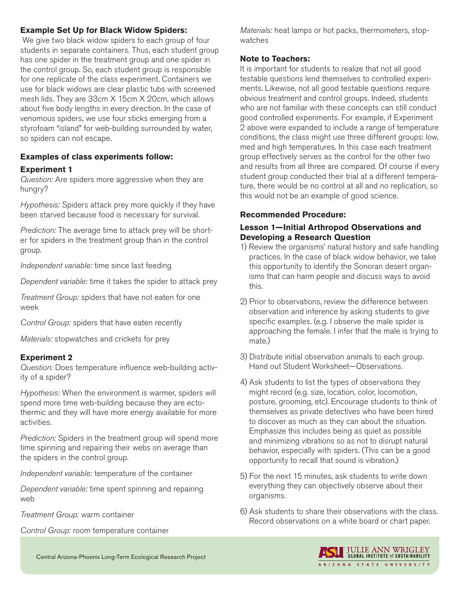### **Example Set Up for Black Widow Spiders:**

 We give two black widow spiders to each group of four students in separate containers. Thus, each student group has one spider in the treatment group and one spider in the control group. So, each student group is responsible for one replicate of the class experiment. Containers we use for black widows are clear plastic tubs with screened mesh lids. They are 33cm X 15cm X 20cm, which allows about five body lengths in every direction. In the case of venomous spiders, we use four sticks emerging from a styrofoam "island" for web-building surrounded by water, so spiders can not escape.

## **Examples of class experiments follow:**

## **Experiment 1**

*Question:* Are spiders more aggressive when they are hungry?

*Hypothesis:* Spiders attack prey more quickly if they have been starved because food is necessary for survival.

*Prediction:* The average time to attack prey will be shorter for spiders in the treatment group than in the control group.

*Independent variable:* time since last feeding

*Dependent variable:* time it takes the spider to attack prey

*Treatment Group:* spiders that have not eaten for one week

*Control Group:* spiders that have eaten recently

*Materials:* stopwatches and crickets for prey

## **Experiment 2**

*Question:* Does temperature influence web-building activity of a spider?

*Hypothesis:* When the environment is warmer, spiders will spend more time web-building because they are ectothermic and they will have more energy available for more activities.

*Prediction:* Spiders in the treatment group will spend more time spinning and repairing their webs on average than the spiders in the control group.

*Independent variable:* temperature of the container

*Dependent variable:* time spent spinning and repairing web

*Treatment Group:* warm container

*Control Group:* room temperature container

*Materials:* heat lamps or hot packs, thermometers, stopwatches

## **Note to Teachers:**

It is important for students to realize that not all good testable questions lend themselves to controlled experiments. Likewise, not all good testable questions require obvious treatment and control groups. Indeed, students who are not familiar with these concepts can still conduct good controlled experiments. For example, if Experiment 2 above were expanded to include a range of temperature conditions, the class might use three different groups: low, med and high temperatures. In this case each treatment group effectively serves as the control for the other two and results from all three are compared. Of course if every student group conducted their trial at a different temperature, there would be no control at all and no replication, so this would not be an example of good science.

## **Recommended Procedure:**

## **Lesson 1—Initial Arthropod Observations and Developing a Research Question**

- 1) Review the organisms' natural history and safe handling practices. In the case of black widow behavior, we take this opportunity to identify the Sonoran desert organisms that can harm people and discuss ways to avoid this.
- 2) Prior to observations, review the difference between observation and inference by asking students to give specific examples. (e.g. I observe the male spider is approaching the female. I infer that the male is trying to mate.)
- 3) Distribute initial observation animals to each group. Hand out Student Worksheet—Observations.
- 4) Ask students to list the types of observations they might record (e.g. size, location, color, locomotion, posture, grooming, etc). Encourage students to think of themselves as private detectives who have been hired to discover as much as they can about the situation. Emphasize this includes being as quiet as possible and minimizing vibrations so as not to disrupt natural behavior, especially with spiders. (This can be a good opportunity to recall that sound is vibration.)
- 5) For the next 15 minutes, ask students to write down everything they can objectively observe about their organisms.
- 6) Ask students to share their observations with the class. Record observations on a white board or chart paper.



Central Arizona-Phoenix Long-Term Ecological Research Project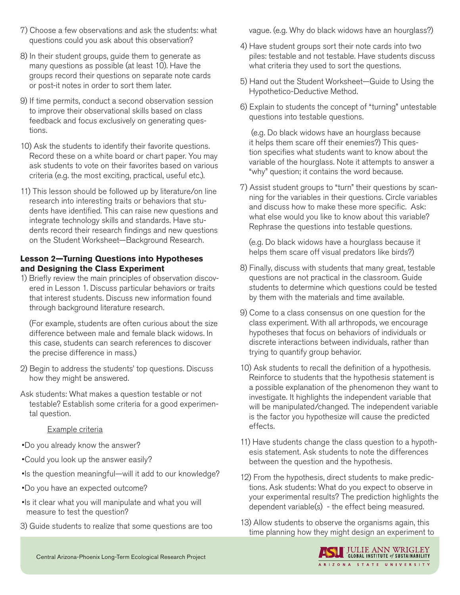- 7) Choose a few observations and ask the students: what questions could you ask about this observation?
- 8) In their student groups, guide them to generate as many questions as possible (at least 10). Have the groups record their questions on separate note cards or post-it notes in order to sort them later.
- 9) If time permits, conduct a second observation session to improve their observational skills based on class feedback and focus exclusively on generating questions.
- 10) Ask the students to identify their favorite questions. Record these on a white board or chart paper. You may ask students to vote on their favorites based on various criteria (e.g. the most exciting, practical, useful etc.).
- 11) This lesson should be followed up by literature/on line research into interesting traits or behaviors that students have identified. This can raise new questions and integrate technology skills and standards. Have students record their research findings and new questions on the Student Worksheet—Background Research.

## **Lesson 2—Turning Questions into Hypotheses and Designing the Class Experiment**

1) Briefly review the main principles of observation discovered in Lesson 1. Discuss particular behaviors or traits that interest students. Discuss new information found through background literature research.

(For example, students are often curious about the size difference between male and female black widows. In this case, students can search references to discover the precise difference in mass.)

- 2) Begin to address the students' top questions. Discuss how they might be answered.
- Ask students: What makes a question testable or not testable? Establish some criteria for a good experimental question.

Example criteria

- •Do you already know the answer?
- •Could you look up the answer easily?
- •Is the question meaningful—will it add to our knowledge?
- •Do you have an expected outcome?
- •Is it clear what you will manipulate and what you will measure to test the question?
- 3) Guide students to realize that some questions are too

vague. (e.g. Why do black widows have an hourglass?)

- 4) Have student groups sort their note cards into two piles: testable and not testable. Have students discuss what criteria they used to sort the questions.
- 5) Hand out the Student Worksheet—Guide to Using the Hypothetico-Deductive Method.
- 6) Explain to students the concept of "turning" untestable questions into testable questions.

 (e.g. Do black widows have an hourglass because it helps them scare off their enemies?) This question specifies what students want to know about the variable of the hourglass. Note it attempts to answer a "why" question; it contains the word because.

7) Assist student groups to "turn" their questions by scanning for the variables in their questions. Circle variables and discuss how to make these more specific. Ask: what else would you like to know about this variable? Rephrase the questions into testable questions.

(e.g. Do black widows have a hourglass because it helps them scare off visual predators like birds?)

- 8) Finally, discuss with students that many great, testable questions are not practical in the classroom. Guide students to determine which questions could be tested by them with the materials and time available.
- 9) Come to a class consensus on one question for the class experiment. With all arthropods, we encourage hypotheses that focus on behaviors of individuals or discrete interactions between individuals, rather than trying to quantify group behavior.
- 10) Ask students to recall the definition of a hypothesis. Reinforce to students that the hypothesis statement is a possible explanation of the phenomenon they want to investigate. It highlights the independent variable that will be manipulated/changed. The independent variable is the factor you hypothesize will cause the predicted effects.
- 11) Have students change the class question to a hypothesis statement. Ask students to note the differences between the question and the hypothesis.
- 12) From the hypothesis, direct students to make predictions. Ask students: What do you expect to observe in your experimental results? The prediction highlights the dependent variable(s) - the effect being measured.
- 13) Allow students to observe the organisms again, this time planning how they might design an experiment to

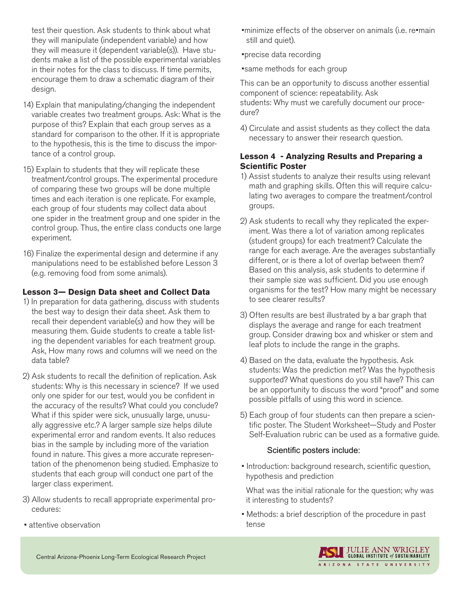test their question. Ask students to think about what they will manipulate (independent variable) and how they will measure it (dependent variable(s)). Have students make a list of the possible experimental variables in their notes for the class to discuss. If time permits, encourage them to draw a schematic diagram of their design.

- 14) Explain that manipulating/changing the independent variable creates two treatment groups. Ask: What is the purpose of this? Explain that each group serves as a standard for comparison to the other. If it is appropriate to the hypothesis, this is the time to discuss the importance of a control group.
- 15) Explain to students that they will replicate these treatment/control groups. The experimental procedure of comparing these two groups will be done multiple times and each iteration is one replicate. For example, each group of four students may collect data about one spider in the treatment group and one spider in the control group. Thus, the entire class conducts one large experiment.
- 16) Finalize the experimental design and determine if any manipulations need to be established before Lesson 3 (e.g. removing food from some animals).

## **Lesson 3— Design Data sheet and Collect Data**

- 1) In preparation for data gathering, discuss with students the best way to design their data sheet. Ask them to recall their dependent variable(s) and how they will be measuring them. Guide students to create a table listing the dependent variables for each treatment group. Ask, How many rows and columns will we need on the data table?
- 2) Ask students to recall the definition of replication. Ask students: Why is this necessary in science? If we used only one spider for our test, would you be confident in the accuracy of the results? What could you conclude? What if this spider were sick, unusually large, unusually aggressive etc.? A larger sample size helps dilute experimental error and random events. It also reduces bias in the sample by including more of the variation found in nature. This gives a more accurate representation of the phenomenon being studied. Emphasize to students that each group will conduct one part of the larger class experiment.
- 3) Allow students to recall appropriate experimental procedures:
- •minimize effects of the observer on animals (i.e. re•main still and quiet).
- •precise data recording
- •same methods for each group

This can be an opportunity to discuss another essential component of science: repeatability. Ask students: Why must we carefully document our procedure?

4) Circulate and assist students as they collect the data necessary to answer their research question.

### **Lesson 4 - Analyzing Results and Preparing a Scientific Poster**

- 1) Assist students to analyze their results using relevant math and graphing skills. Often this will require calculating two averages to compare the treatment/control groups.
- 2) Ask students to recall why they replicated the experiment. Was there a lot of variation among replicates (student groups) for each treatment? Calculate the range for each average. Are the averages substantially different, or is there a lot of overlap between them? Based on this analysis, ask students to determine if their sample size was sufficient. Did you use enough organisms for the test? How many might be necessary to see clearer results?
- 3) Often results are best illustrated by a bar graph that displays the average and range for each treatment group. Consider drawing box and whisker or stem and leaf plots to include the range in the graphs.
- 4) Based on the data, evaluate the hypothesis. Ask students: Was the prediction met? Was the hypothesis supported? What questions do you still have? This can be an opportunity to discuss the word "proof" and some possible pitfalls of using this word in science.
- 5) Each group of four students can then prepare a scientific poster. The Student Worksheet—Study and Poster Self-Evaluation rubric can be used as a formative guide.

### Scientific posters include:

• Introduction: background research, scientific question, hypothesis and prediction

What was the initial rationale for the question; why was it interesting to students?

• Methods: a brief description of the procedure in past tense

• attentive observation

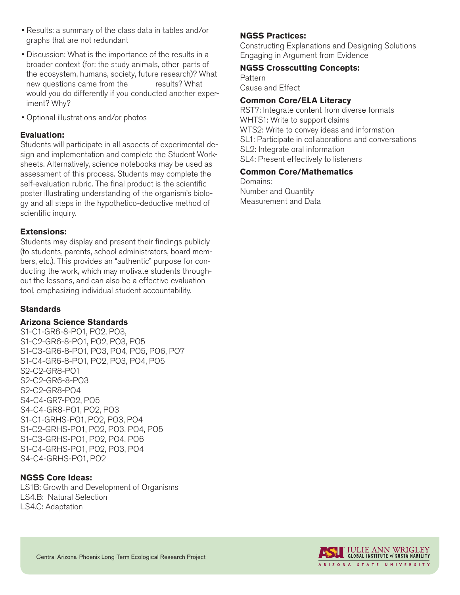- Results: a summary of the class data in tables and/or graphs that are not redundant
- Discussion: What is the importance of the results in a broader context (for: the study animals, other parts of the ecosystem, humans, society, future research)? What new questions came from the results? What would you do differently if you conducted another experiment? Why?
- Optional illustrations and/or photos

## **Evaluation:**

Students will participate in all aspects of experimental design and implementation and complete the Student Worksheets. Alternatively, science notebooks may be used as assessment of this process. Students may complete the self-evaluation rubric. The final product is the scientific poster illustrating understanding of the organism's biology and all steps in the hypothetico-deductive method of scientific inquiry.

## **Extensions:**

Students may display and present their findings publicly (to students, parents, school administrators, board members, etc.). This provides an "authentic" purpose for conducting the work, which may motivate students throughout the lessons, and can also be a effective evaluation tool, emphasizing individual student accountability.

## **Standards**

### **Arizona Science Standards**

S1-C1-GR6-8-PO1, PO2, PO3, S1-C2-GR6-8-PO1, PO2, PO3, PO5 S1-C3-GR6-8-PO1, PO3, PO4, PO5, PO6, PO7 S1-C4-GR6-8-PO1, PO2, PO3, PO4, PO5 S2-C2-GR8-PO1 S2-C2-GR6-8-PO3 S2-C2-GR8-PO4 S4-C4-GR7-PO2, PO5 S4-C4-GR8-PO1, PO2, PO3 S1-C1-GRHS-PO1, PO2, PO3, PO4 S1-C2-GRHS-PO1, PO2, PO3, PO4, PO5 S1-C3-GRHS-PO1, PO2, PO4, PO6 S1-C4-GRHS-PO1, PO2, PO3, PO4 S4-C4-GRHS-PO1, PO2

## **NGSS Core Ideas:**

LS1B: Growth and Development of Organisms LS4.B: Natural Selection LS4.C: Adaptation

## **NGSS Practices:**

Constructing Explanations and Designing Solutions Engaging in Argument from Evidence

### **NGSS Crosscutting Concepts:**

Pattern Cause and Effect

## **Common Core/ELA Literacy**

RST7: Integrate content from diverse formats WHTS1: Write to support claims WTS2: Write to convey ideas and information SL1: Participate in collaborations and conversations SL2: Integrate oral information SL4: Present effectively to listeners

### **Common Core/Mathematics**

Domains: Number and Quantity Measurement and Data

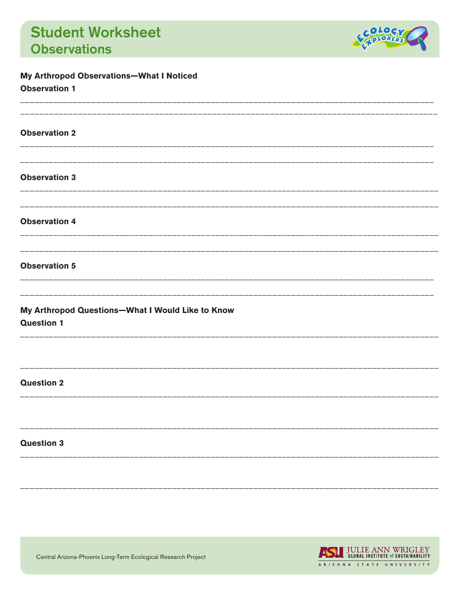

| <b>Observation 1</b>                                                  |
|-----------------------------------------------------------------------|
| <b>Observation 2</b>                                                  |
|                                                                       |
| <b>Observation 3</b><br><b>Observation 4</b><br><b>Observation 5</b>  |
|                                                                       |
|                                                                       |
|                                                                       |
| My Arthropod Questions-What I Would Like to Know<br><b>Question 1</b> |
| <b>Question 2</b>                                                     |
| <b>Question 3</b>                                                     |

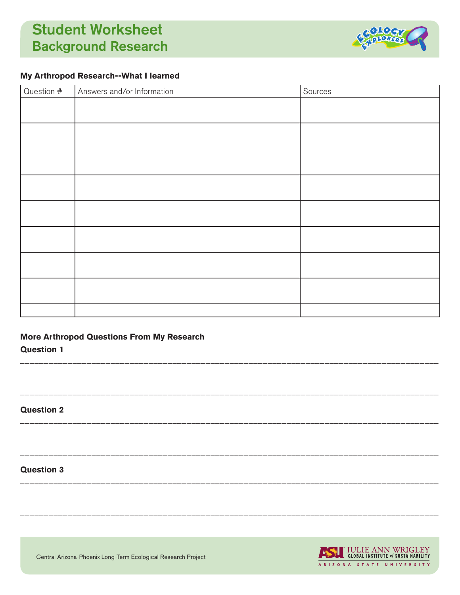# **Student Worksheet Background Research**



## My Arthropod Research--What I learned

| Question # | Answers and/or Information | Sources |
|------------|----------------------------|---------|
|            |                            |         |
|            |                            |         |
|            |                            |         |
|            |                            |         |
|            |                            |         |
|            |                            |         |
|            |                            |         |
|            |                            |         |
|            |                            |         |

## **More Arthropod Questions From My Research**

**Question 1** 

**Question 2** 

### **Question 3**

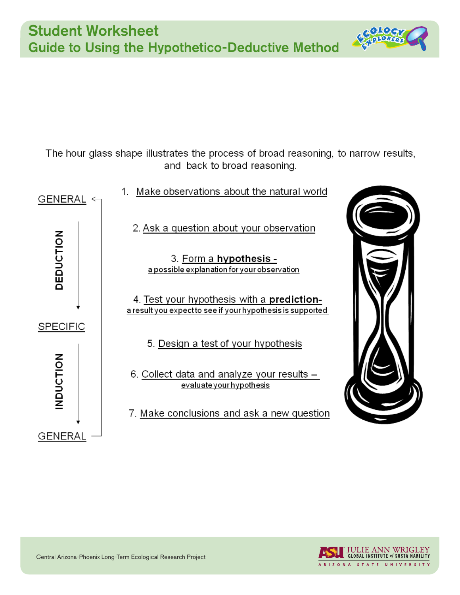The hour glass shape illustrates the process of broad reasoning, to narrow results, and back to broad reasoning.







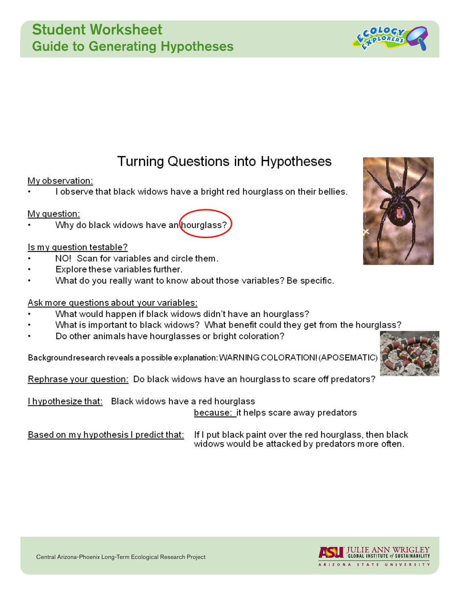## **Student Worksheet Guide to Generating Hypotheses**

# **Turning Questions into Hypotheses**

## My observation:

I observe that black widows have a bright red hourglass on their bellies.

## My question:

Why do black widows have an hourglass?

## Is my question testable?

- NO! Scan for variables and circle them.
- Explore these variables further.
- What do you really want to know about those variables? Be specific.

## Ask more questions about your variables:

- What would happen if black widows didn't have an hourglass?
- What is important to black widows? What benefit could they get from the hourglass?
- Do other animals have hourglasses or bright coloration?

Background research reveals a possible explanation: WARNING COLORATION! (APOSEMATIC)

Rephrase your question: Do black widows have an hourglass to scare off predators?

I hypothesize that: Black widows have a red hourglass

because: it helps scare away predators

Based on my hypothesis I predict that:

If I put black paint over the red hourglass, then black widows would be attacked by predators more often.







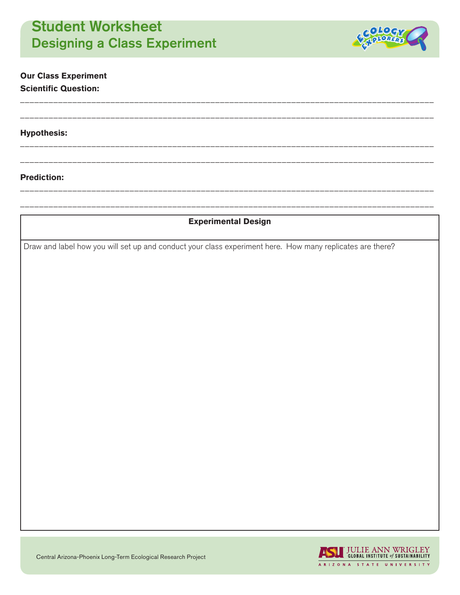# Student Worksheet Designing a Class Experiment



## **Our Class Experiment Scientific Question:**

#### **Hypothesis:**

#### **Prediction:**

## **Experimental Design**

\_\_\_\_\_\_\_\_\_\_\_\_\_\_\_\_\_\_\_\_\_\_\_\_\_\_\_\_\_\_\_\_\_\_\_\_\_\_\_\_\_\_\_\_\_\_\_\_\_\_\_\_\_\_\_\_\_\_\_\_\_\_\_\_\_\_\_\_\_\_\_\_\_\_\_\_\_\_\_\_\_\_\_\_\_\_\_

\_\_\_\_\_\_\_\_\_\_\_\_\_\_\_\_\_\_\_\_\_\_\_\_\_\_\_\_\_\_\_\_\_\_\_\_\_\_\_\_\_\_\_\_\_\_\_\_\_\_\_\_\_\_\_\_\_\_\_\_\_\_\_\_\_\_\_\_\_\_\_\_\_\_\_\_\_\_\_\_\_\_\_\_\_\_\_

\_\_\_\_\_\_\_\_\_\_\_\_\_\_\_\_\_\_\_\_\_\_\_\_\_\_\_\_\_\_\_\_\_\_\_\_\_\_\_\_\_\_\_\_\_\_\_\_\_\_\_\_\_\_\_\_\_\_\_\_\_\_\_\_\_\_\_\_\_\_\_\_\_\_\_\_\_\_\_\_\_\_\_\_\_\_\_

\_\_\_\_\_\_\_\_\_\_\_\_\_\_\_\_\_\_\_\_\_\_\_\_\_\_\_\_\_\_\_\_\_\_\_\_\_\_\_\_\_\_\_\_\_\_\_\_\_\_\_\_\_\_\_\_\_\_\_\_\_\_\_\_\_\_\_\_\_\_\_\_\_\_\_\_\_\_\_\_\_\_\_\_\_\_\_

\_\_\_\_\_\_\_\_\_\_\_\_\_\_\_\_\_\_\_\_\_\_\_\_\_\_\_\_\_\_\_\_\_\_\_\_\_\_\_\_\_\_\_\_\_\_\_\_\_\_\_\_\_\_\_\_\_\_\_\_\_\_\_\_\_\_\_\_\_\_\_\_\_\_\_\_\_\_\_\_\_\_\_\_\_\_\_

\_\_\_\_\_\_\_\_\_\_\_\_\_\_\_\_\_\_\_\_\_\_\_\_\_\_\_\_\_\_\_\_\_\_\_\_\_\_\_\_\_\_\_\_\_\_\_\_\_\_\_\_\_\_\_\_\_\_\_\_\_\_\_\_\_\_\_\_\_\_\_\_\_\_\_\_\_\_\_\_\_\_\_\_\_\_\_

Draw and label how you will set up and conduct your class experiment here. How many replicates are there?